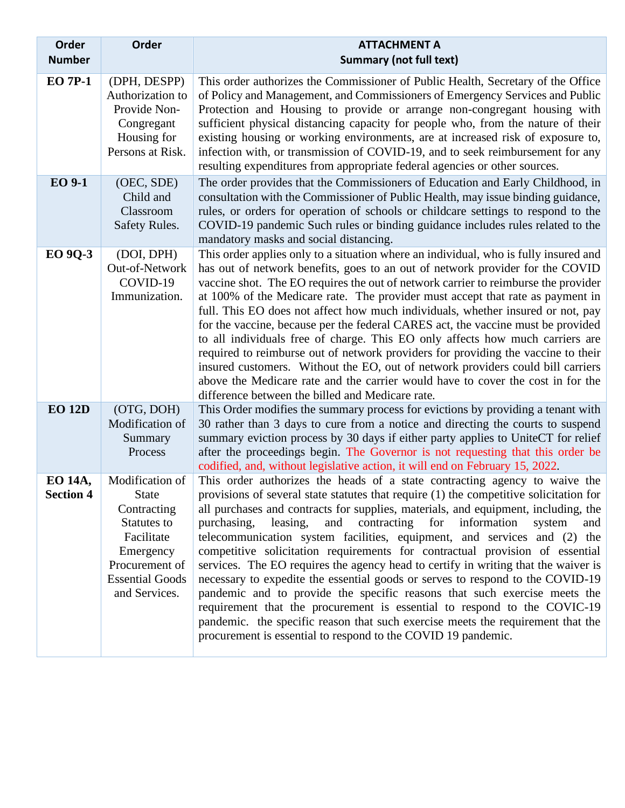| Order<br><b>Number</b>      | Order                                                                                                                                                 | <b>ATTACHMENT A</b><br><b>Summary (not full text)</b>                                                                                                                                                                                                                                                                                                                                                                                                                                                                                                                                                                                                                                                                                                                                                                                                                                                                                                                                      |
|-----------------------------|-------------------------------------------------------------------------------------------------------------------------------------------------------|--------------------------------------------------------------------------------------------------------------------------------------------------------------------------------------------------------------------------------------------------------------------------------------------------------------------------------------------------------------------------------------------------------------------------------------------------------------------------------------------------------------------------------------------------------------------------------------------------------------------------------------------------------------------------------------------------------------------------------------------------------------------------------------------------------------------------------------------------------------------------------------------------------------------------------------------------------------------------------------------|
| <b>EO 7P-1</b>              | (DPH, DESPP)<br>Authorization to<br>Provide Non-<br>Congregant<br>Housing for<br>Persons at Risk.                                                     | This order authorizes the Commissioner of Public Health, Secretary of the Office<br>of Policy and Management, and Commissioners of Emergency Services and Public<br>Protection and Housing to provide or arrange non-congregant housing with<br>sufficient physical distancing capacity for people who, from the nature of their<br>existing housing or working environments, are at increased risk of exposure to,<br>infection with, or transmission of COVID-19, and to seek reimbursement for any<br>resulting expenditures from appropriate federal agencies or other sources.                                                                                                                                                                                                                                                                                                                                                                                                        |
| <b>EO 9-1</b>               | (OEC, SDE)<br>Child and<br>Classroom<br>Safety Rules.                                                                                                 | The order provides that the Commissioners of Education and Early Childhood, in<br>consultation with the Commissioner of Public Health, may issue binding guidance,<br>rules, or orders for operation of schools or childcare settings to respond to the<br>COVID-19 pandemic Such rules or binding guidance includes rules related to the<br>mandatory masks and social distancing.                                                                                                                                                                                                                                                                                                                                                                                                                                                                                                                                                                                                        |
| <b>EO 9Q-3</b>              | (DOI, DPH)<br>Out-of-Network<br>COVID-19<br>Immunization.                                                                                             | This order applies only to a situation where an individual, who is fully insured and<br>has out of network benefits, goes to an out of network provider for the COVID<br>vaccine shot. The EO requires the out of network carrier to reimburse the provider<br>at 100% of the Medicare rate. The provider must accept that rate as payment in<br>full. This EO does not affect how much individuals, whether insured or not, pay<br>for the vaccine, because per the federal CARES act, the vaccine must be provided<br>to all individuals free of charge. This EO only affects how much carriers are<br>required to reimburse out of network providers for providing the vaccine to their<br>insured customers. Without the EO, out of network providers could bill carriers<br>above the Medicare rate and the carrier would have to cover the cost in for the<br>difference between the billed and Medicare rate.                                                                       |
| <b>EO 12D</b>               | (OTG, DOH)<br>Modification of<br>Summary<br>Process                                                                                                   | This Order modifies the summary process for evictions by providing a tenant with<br>30 rather than 3 days to cure from a notice and directing the courts to suspend<br>summary eviction process by 30 days if either party applies to UniteCT for relief<br>after the proceedings begin. The Governor is not requesting that this order be<br>codified, and, without legislative action, it will end on February 15, 2022.                                                                                                                                                                                                                                                                                                                                                                                                                                                                                                                                                                 |
| EO 14A,<br><b>Section 4</b> | Modification of<br><b>State</b><br>Contracting<br>Statutes to<br>Facilitate<br>Emergency<br>Procurement of<br><b>Essential Goods</b><br>and Services. | This order authorizes the heads of a state contracting agency to waive the<br>provisions of several state statutes that require (1) the competitive solicitation for<br>all purchases and contracts for supplies, materials, and equipment, including, the<br>purchasing,<br>and contracting for information<br>leasing,<br>system<br>and<br>telecommunication system facilities, equipment, and services and (2) the<br>competitive solicitation requirements for contractual provision of essential<br>services. The EO requires the agency head to certify in writing that the waiver is<br>necessary to expedite the essential goods or serves to respond to the COVID-19<br>pandemic and to provide the specific reasons that such exercise meets the<br>requirement that the procurement is essential to respond to the COVIC-19<br>pandemic. the specific reason that such exercise meets the requirement that the<br>procurement is essential to respond to the COVID 19 pandemic. |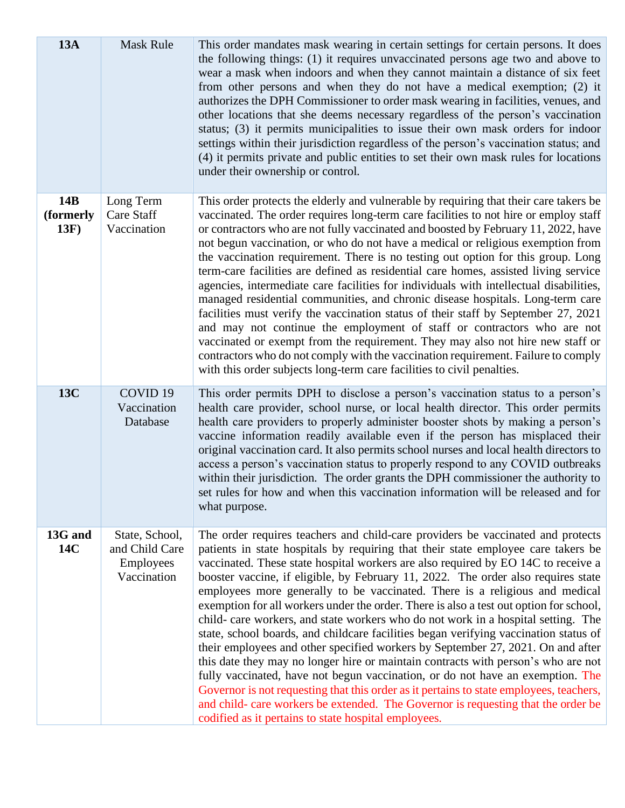| <b>13A</b>               | Mask Rule                                                    | This order mandates mask wearing in certain settings for certain persons. It does<br>the following things: (1) it requires unvaccinated persons age two and above to<br>wear a mask when indoors and when they cannot maintain a distance of six feet<br>from other persons and when they do not have a medical exemption; (2) it<br>authorizes the DPH Commissioner to order mask wearing in facilities, venues, and<br>other locations that she deems necessary regardless of the person's vaccination<br>status; (3) it permits municipalities to issue their own mask orders for indoor<br>settings within their jurisdiction regardless of the person's vaccination status; and<br>(4) it permits private and public entities to set their own mask rules for locations<br>under their ownership or control.                                                                                                                                                                                                                                                                                                                                                                                      |
|--------------------------|--------------------------------------------------------------|--------------------------------------------------------------------------------------------------------------------------------------------------------------------------------------------------------------------------------------------------------------------------------------------------------------------------------------------------------------------------------------------------------------------------------------------------------------------------------------------------------------------------------------------------------------------------------------------------------------------------------------------------------------------------------------------------------------------------------------------------------------------------------------------------------------------------------------------------------------------------------------------------------------------------------------------------------------------------------------------------------------------------------------------------------------------------------------------------------------------------------------------------------------------------------------------------------|
| 14B<br>(formerly<br>13F) | Long Term<br>Care Staff<br>Vaccination                       | This order protects the elderly and vulnerable by requiring that their care takers be<br>vaccinated. The order requires long-term care facilities to not hire or employ staff<br>or contractors who are not fully vaccinated and boosted by February 11, 2022, have<br>not begun vaccination, or who do not have a medical or religious exemption from<br>the vaccination requirement. There is no testing out option for this group. Long<br>term-care facilities are defined as residential care homes, assisted living service<br>agencies, intermediate care facilities for individuals with intellectual disabilities,<br>managed residential communities, and chronic disease hospitals. Long-term care<br>facilities must verify the vaccination status of their staff by September 27, 2021<br>and may not continue the employment of staff or contractors who are not<br>vaccinated or exempt from the requirement. They may also not hire new staff or<br>contractors who do not comply with the vaccination requirement. Failure to comply<br>with this order subjects long-term care facilities to civil penalties.                                                                        |
| 13C                      | COVID <sub>19</sub><br>Vaccination<br>Database               | This order permits DPH to disclose a person's vaccination status to a person's<br>health care provider, school nurse, or local health director. This order permits<br>health care providers to properly administer booster shots by making a person's<br>vaccine information readily available even if the person has misplaced their<br>original vaccination card. It also permits school nurses and local health directors to<br>access a person's vaccination status to properly respond to any COVID outbreaks<br>within their jurisdiction. The order grants the DPH commissioner the authority to<br>set rules for how and when this vaccination information will be released and for<br>what purpose.                                                                                                                                                                                                                                                                                                                                                                                                                                                                                           |
| 13G and<br>14C           | State, School,<br>and Child Care<br>Employees<br>Vaccination | The order requires teachers and child-care providers be vaccinated and protects<br>patients in state hospitals by requiring that their state employee care takers be<br>vaccinated. These state hospital workers are also required by EO 14C to receive a<br>booster vaccine, if eligible, by February 11, 2022. The order also requires state<br>employees more generally to be vaccinated. There is a religious and medical<br>exemption for all workers under the order. There is also a test out option for school,<br>child- care workers, and state workers who do not work in a hospital setting. The<br>state, school boards, and childcare facilities began verifying vaccination status of<br>their employees and other specified workers by September 27, 2021. On and after<br>this date they may no longer hire or maintain contracts with person's who are not<br>fully vaccinated, have not begun vaccination, or do not have an exemption. The<br>Governor is not requesting that this order as it pertains to state employees, teachers,<br>and child- care workers be extended. The Governor is requesting that the order be<br>codified as it pertains to state hospital employees. |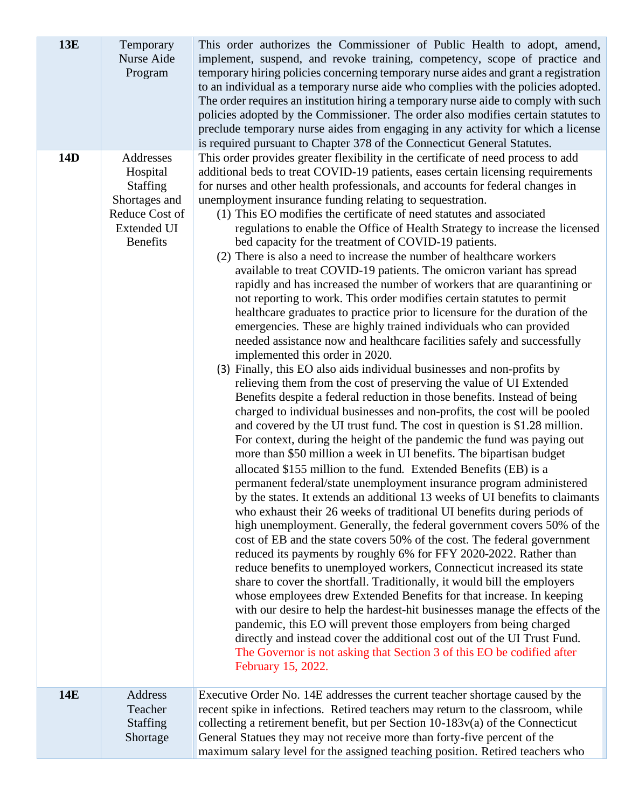| <b>13E</b> | Temporary<br>Nurse Aide<br>Program                                                                                   | This order authorizes the Commissioner of Public Health to adopt, amend,<br>implement, suspend, and revoke training, competency, scope of practice and<br>temporary hiring policies concerning temporary nurse aides and grant a registration<br>to an individual as a temporary nurse aide who complies with the policies adopted.<br>The order requires an institution hiring a temporary nurse aide to comply with such<br>policies adopted by the Commissioner. The order also modifies certain statutes to<br>preclude temporary nurse aides from engaging in any activity for which a license<br>is required pursuant to Chapter 378 of the Connecticut General Statutes.                                                                                                                                                                                                                                                                                                                                                                                                                                                                                                                                                                                                                                                                                                                                                                                                                                                                                                                                                                                                                                                                                                                                                                                                                                                                                                                                                                                                                                                                                                                                                                                                                                                                                                                                                                                                                                                                                                                                                                                                                                                                       |
|------------|----------------------------------------------------------------------------------------------------------------------|-------------------------------------------------------------------------------------------------------------------------------------------------------------------------------------------------------------------------------------------------------------------------------------------------------------------------------------------------------------------------------------------------------------------------------------------------------------------------------------------------------------------------------------------------------------------------------------------------------------------------------------------------------------------------------------------------------------------------------------------------------------------------------------------------------------------------------------------------------------------------------------------------------------------------------------------------------------------------------------------------------------------------------------------------------------------------------------------------------------------------------------------------------------------------------------------------------------------------------------------------------------------------------------------------------------------------------------------------------------------------------------------------------------------------------------------------------------------------------------------------------------------------------------------------------------------------------------------------------------------------------------------------------------------------------------------------------------------------------------------------------------------------------------------------------------------------------------------------------------------------------------------------------------------------------------------------------------------------------------------------------------------------------------------------------------------------------------------------------------------------------------------------------------------------------------------------------------------------------------------------------------------------------------------------------------------------------------------------------------------------------------------------------------------------------------------------------------------------------------------------------------------------------------------------------------------------------------------------------------------------------------------------------------------------------------------------------------------------------------------------------|
| <b>14D</b> | Addresses<br>Hospital<br><b>Staffing</b><br>Shortages and<br>Reduce Cost of<br><b>Extended UI</b><br><b>Benefits</b> | This order provides greater flexibility in the certificate of need process to add<br>additional beds to treat COVID-19 patients, eases certain licensing requirements<br>for nurses and other health professionals, and accounts for federal changes in<br>unemployment insurance funding relating to sequestration.<br>(1) This EO modifies the certificate of need statutes and associated<br>regulations to enable the Office of Health Strategy to increase the licensed<br>bed capacity for the treatment of COVID-19 patients.<br>(2) There is also a need to increase the number of healthcare workers<br>available to treat COVID-19 patients. The omicron variant has spread<br>rapidly and has increased the number of workers that are quarantining or<br>not reporting to work. This order modifies certain statutes to permit<br>healthcare graduates to practice prior to licensure for the duration of the<br>emergencies. These are highly trained individuals who can provided<br>needed assistance now and healthcare facilities safely and successfully<br>implemented this order in 2020.<br>(3) Finally, this EO also aids individual businesses and non-profits by<br>relieving them from the cost of preserving the value of UI Extended<br>Benefits despite a federal reduction in those benefits. Instead of being<br>charged to individual businesses and non-profits, the cost will be pooled<br>and covered by the UI trust fund. The cost in question is \$1.28 million.<br>For context, during the height of the pandemic the fund was paying out<br>more than \$50 million a week in UI benefits. The bipartisan budget<br>allocated \$155 million to the fund. Extended Benefits (EB) is a<br>permanent federal/state unemployment insurance program administered<br>by the states. It extends an additional 13 weeks of UI benefits to claimants<br>who exhaust their 26 weeks of traditional UI benefits during periods of<br>high unemployment. Generally, the federal government covers 50% of the<br>cost of EB and the state covers 50% of the cost. The federal government<br>reduced its payments by roughly 6% for FFY 2020-2022. Rather than<br>reduce benefits to unemployed workers, Connecticut increased its state<br>share to cover the shortfall. Traditionally, it would bill the employers<br>whose employees drew Extended Benefits for that increase. In keeping<br>with our desire to help the hardest-hit businesses manage the effects of the<br>pandemic, this EO will prevent those employers from being charged<br>directly and instead cover the additional cost out of the UI Trust Fund.<br>The Governor is not asking that Section 3 of this EO be codified after<br>February 15, 2022. |
| <b>14E</b> | Address<br>Teacher<br><b>Staffing</b><br>Shortage                                                                    | Executive Order No. 14E addresses the current teacher shortage caused by the<br>recent spike in infections. Retired teachers may return to the classroom, while<br>collecting a retirement benefit, but per Section $10-183v(a)$ of the Connecticut<br>General Statues they may not receive more than forty-five percent of the<br>maximum salary level for the assigned teaching position. Retired teachers who                                                                                                                                                                                                                                                                                                                                                                                                                                                                                                                                                                                                                                                                                                                                                                                                                                                                                                                                                                                                                                                                                                                                                                                                                                                                                                                                                                                                                                                                                                                                                                                                                                                                                                                                                                                                                                                                                                                                                                                                                                                                                                                                                                                                                                                                                                                                      |